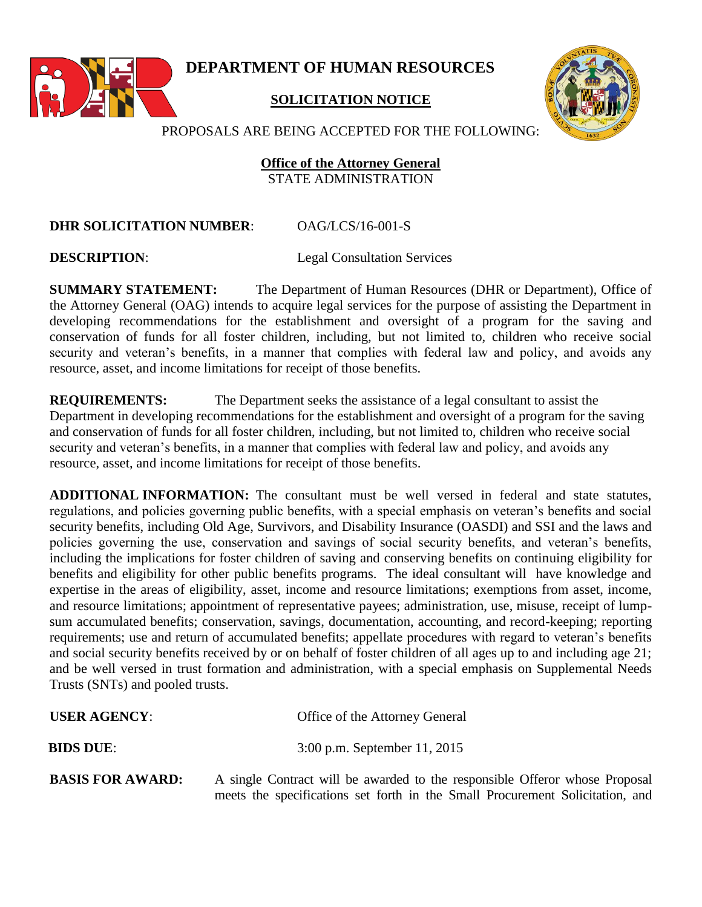

**DEPARTMENT OF HUMAN RESOURCES**

## **SOLICITATION NOTICE**



PROPOSALS ARE BEING ACCEPTED FOR THE FOLLOWING:

## **Office of the Attorney General** STATE ADMINISTRATION

## **DHR SOLICITATION NUMBER**: OAG/LCS/16-001-S

**DESCRIPTION:** Legal Consultation Services

**SUMMARY STATEMENT:** The Department of Human Resources (DHR or Department), Office of the Attorney General (OAG) intends to acquire legal services for the purpose of assisting the Department in developing recommendations for the establishment and oversight of a program for the saving and conservation of funds for all foster children, including, but not limited to, children who receive social security and veteran's benefits, in a manner that complies with federal law and policy, and avoids any resource, asset, and income limitations for receipt of those benefits.

**REQUIREMENTS:** The Department seeks the assistance of a legal consultant to assist the Department in developing recommendations for the establishment and oversight of a program for the saving and conservation of funds for all foster children, including, but not limited to, children who receive social security and veteran's benefits, in a manner that complies with federal law and policy, and avoids any resource, asset, and income limitations for receipt of those benefits.

**ADDITIONAL INFORMATION:** The consultant must be well versed in federal and state statutes, regulations, and policies governing public benefits, with a special emphasis on veteran's benefits and social security benefits, including Old Age, Survivors, and Disability Insurance (OASDI) and SSI and the laws and policies governing the use, conservation and savings of social security benefits, and veteran's benefits, including the implications for foster children of saving and conserving benefits on continuing eligibility for benefits and eligibility for other public benefits programs. The ideal consultant will have knowledge and expertise in the areas of eligibility, asset, income and resource limitations; exemptions from asset, income, and resource limitations; appointment of representative payees; administration, use, misuse, receipt of lumpsum accumulated benefits; conservation, savings, documentation, accounting, and record-keeping; reporting requirements; use and return of accumulated benefits; appellate procedures with regard to veteran's benefits and social security benefits received by or on behalf of foster children of all ages up to and including age 21; and be well versed in trust formation and administration, with a special emphasis on Supplemental Needs Trusts (SNTs) and pooled trusts.

| <b>USER AGENCY:</b>     | Office of the Attorney General                                                                                                                               |
|-------------------------|--------------------------------------------------------------------------------------------------------------------------------------------------------------|
| <b>BIDS DUE:</b>        | 3:00 p.m. September 11, 2015                                                                                                                                 |
| <b>BASIS FOR AWARD:</b> | A single Contract will be awarded to the responsible Offeror whose Proposal<br>meets the specifications set forth in the Small Procurement Solicitation, and |